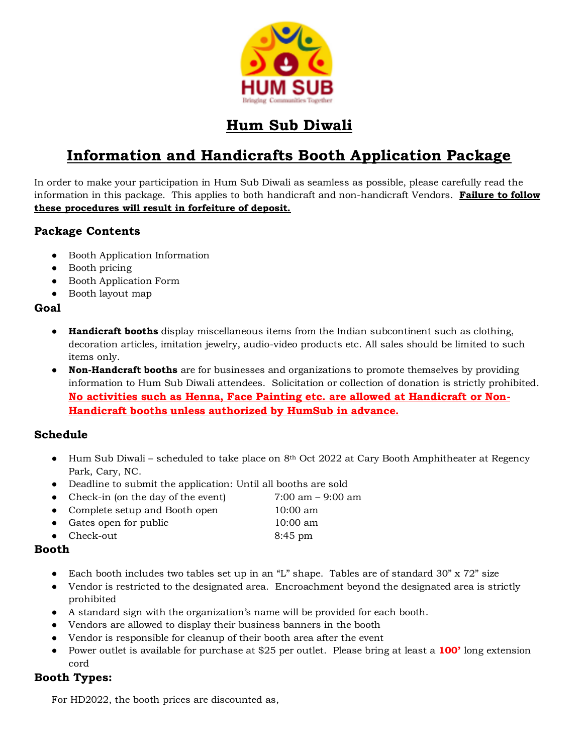

## **Hum Sub Diwali**

## **Information and Handicrafts Booth Application Package**

In order to make your participation in Hum Sub Diwali as seamless as possible, please carefully read the information in this package. This applies to both handicraft and non-handicraft Vendors. **Failure to follow these procedures will result in forfeiture of deposit.**

### **Package Contents**

- Booth Application Information
- Booth pricing
- Booth Application Form
- Booth layout map

#### **Goal**

- **Handicraft booths** display miscellaneous items from the Indian subcontinent such as clothing, decoration articles, imitation jewelry, audio-video products etc. All sales should be limited to such items only.
- **Non-Handcraft booths** are for businesses and organizations to promote themselves by providing information to Hum Sub Diwali attendees. Solicitation or collection of donation is strictly prohibited. **No activities such as Henna, Face Painting etc. are allowed at Handicraft or Non-Handicraft booths unless authorized by HumSub in advance.**

#### **Schedule**

- Hum Sub Diwali scheduled to take place on  $8<sup>th</sup>$  Oct 2022 at Cary Booth Amphitheater at Regency Park, Cary, NC.
- Deadline to submit the application: Until all booths are sold
- Check-in (on the day of the event) 7:00 am 9:00 am
- Complete setup and Booth open 10:00 am
- Gates open for public 10:00 am
- Check-out 8:45 pm

### **Booth**

- Each booth includes two tables set up in an "L" shape. Tables are of standard 30" x 72" size
- Vendor is restricted to the designated area. Encroachment beyond the designated area is strictly prohibited
- A standard sign with the organization's name will be provided for each booth.
- Vendors are allowed to display their business banners in the booth
- Vendor is responsible for cleanup of their booth area after the event
- Power outlet is available for purchase at \$25 per outlet. Please bring at least a **100'** long extension cord

### **Booth Types:**

For HD2022, the booth prices are discounted as,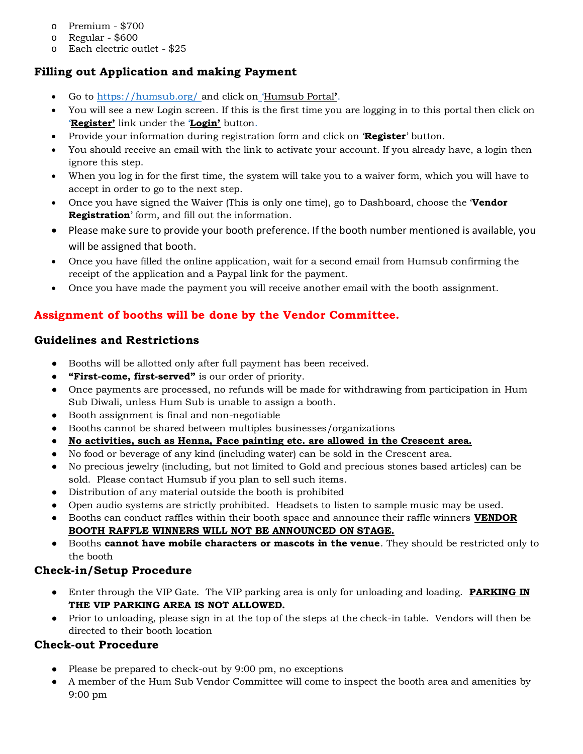- o Premium \$700
- o Regular \$600
- o Each electric outlet \$25

### **Filling out Application and making Payment**

- Go to <https://humsub.org/> and click on 'Humsub Portal**'**.
- You will see a new Login screen. If this is the first time you are logging in to this portal then click on '**Register'** link under the '**Login'** button.
- Provide your information during registration form and click on '**Register**' button.
- You should receive an email with the link to activate your account. If you already have, a login then ignore this step.
- When you log in for the first time, the system will take you to a waiver form, which you will have to accept in order to go to the next step.
- Once you have signed the Waiver (This is only one time), go to Dashboard, choose the '**Vendor Registration**' form, and fill out the information.
- Please make sure to provide your booth preference. If the booth number mentioned is available, you will be assigned that booth.
- Once you have filled the online application, wait for a second email from Humsub confirming the receipt of the application and a Paypal link for the payment.
- Once you have made the payment you will receive another email with the booth assignment.

### **Assignment of booths will be done by the Vendor Committee.**

#### **Guidelines and Restrictions**

- Booths will be allotted only after full payment has been received.
- **"First-come, first-served"** is our order of priority.
- Once payments are processed, no refunds will be made for withdrawing from participation in Hum Sub Diwali, unless Hum Sub is unable to assign a booth.
- Booth assignment is final and non-negotiable
- Booths cannot be shared between multiples businesses/organizations
- **No activities, such as Henna, Face painting etc. are allowed in the Crescent area.**
- No food or beverage of any kind (including water) can be sold in the Crescent area.
- No precious jewelry (including, but not limited to Gold and precious stones based articles) can be sold. Please contact Humsub if you plan to sell such items.
- Distribution of any material outside the booth is prohibited
- Open audio systems are strictly prohibited. Headsets to listen to sample music may be used.
- Booths can conduct raffles within their booth space and announce their raffle winners **VENDOR BOOTH RAFFLE WINNERS WILL NOT BE ANNOUNCED ON STAGE.**
- Booths **cannot have mobile characters or mascots in the venue**. They should be restricted only to the booth

### **Check-in/Setup Procedure**

- Enter through the VIP Gate. The VIP parking area is only for unloading and loading. **PARKING IN THE VIP PARKING AREA IS NOT ALLOWED.**
- Prior to unloading, please sign in at the top of the steps at the check-in table. Vendors will then be directed to their booth location

#### **Check-out Procedure**

- Please be prepared to check-out by 9:00 pm, no exceptions
- A member of the Hum Sub Vendor Committee will come to inspect the booth area and amenities by 9:00 pm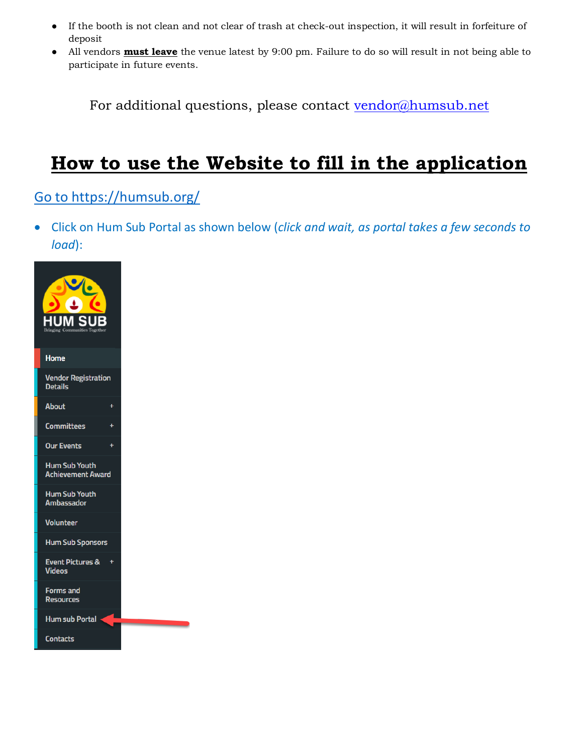- If the booth is not clean and not clear of trash at check-out inspection, it will result in forfeiture of deposit
- All vendors **must leave** the venue latest by 9:00 pm. Failure to do so will result in not being able to participate in future events.

For additional questions, please contact [vendor@humsub.net](mailto:vendor@humsub.net)

# **How to use the Website to fill in the application**

### [Go to https://humsub.org/](file:///C:/ZZ/HumSub%202021/Go%20to%20https:/humsub.org/)

• Click on Hum Sub Portal as shown below (*click and wait, as portal takes a few seconds to load*):

| N                                                |  |
|--------------------------------------------------|--|
| Home                                             |  |
| <b>Vendor Registration</b><br><b>Details</b>     |  |
| <b>About</b>                                     |  |
| <b>Committees</b>                                |  |
| <b>Our Events</b>                                |  |
| <b>Hum Sub Youth</b><br><b>Achievement Award</b> |  |
| <b>Hum Sub Youth</b><br><b>Ambassador</b>        |  |
| <b>Volunteer</b>                                 |  |
| <b>Hum Sub Sponsors</b>                          |  |
| <b>Event Pictures &amp;</b><br><b>Videos</b>     |  |
| <b>Forms and</b><br><b>Resources</b>             |  |
| <b>Hum sub Portal</b>                            |  |
| Contacts                                         |  |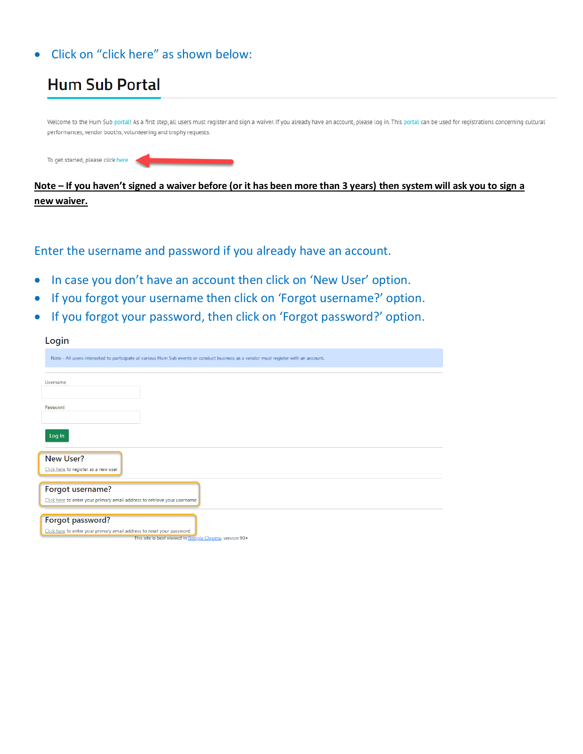### • Click on "click here" as shown below:



**new waiver.**

#### Enter the username and password if you already have an account.

- In case you don't have an account then click on 'New User' option.
- If you forgot your username then click on 'Forgot username?' option.
- If you forgot your password, then click on 'Forgot password?' option.

| Login                                                                                                                                               |
|-----------------------------------------------------------------------------------------------------------------------------------------------------|
| Note - All users interested to participate at various Hum Sub events or conduct business as a vendor must register with an account.                 |
| Username                                                                                                                                            |
| Password                                                                                                                                            |
| Log In                                                                                                                                              |
| <b>New User?</b><br>Click here to register as a new user                                                                                            |
| Forgot username?<br>Click here to enter your primary email address to retrieve your username                                                        |
| Forgot password?<br>Click here to enter your primary email address to reset your password<br>This site is best viewed in Google Chrome, version 90+ |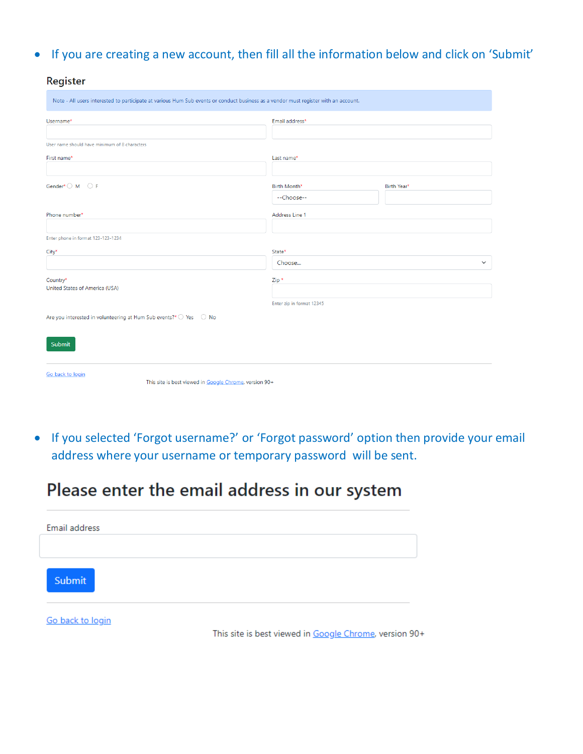• If you are creating a new account, then fill all the information below and click on 'Submit'

**Register** 

| Note - All users interested to participate at various Hum Sub events or conduct business as a vendor must register with an account. |                           |              |  |  |  |
|-------------------------------------------------------------------------------------------------------------------------------------|---------------------------|--------------|--|--|--|
| Username*                                                                                                                           | Email address*            |              |  |  |  |
|                                                                                                                                     |                           |              |  |  |  |
| User name should have minimum of 8 characters                                                                                       |                           |              |  |  |  |
| First name*                                                                                                                         | Last name*                |              |  |  |  |
|                                                                                                                                     |                           |              |  |  |  |
| Gender* $\bigcirc$ M $\bigcirc$ F                                                                                                   | Birth Month*              | Birth Year*  |  |  |  |
|                                                                                                                                     | --Choose--                |              |  |  |  |
| Phone number*                                                                                                                       | Address Line 1            |              |  |  |  |
|                                                                                                                                     |                           |              |  |  |  |
| Enter phone in format 123-123-1234                                                                                                  |                           |              |  |  |  |
| City <sup>*</sup>                                                                                                                   | State*                    |              |  |  |  |
|                                                                                                                                     | Choose                    | $\checkmark$ |  |  |  |
| Country*                                                                                                                            | Zip *                     |              |  |  |  |
| United States of America (USA)                                                                                                      |                           |              |  |  |  |
|                                                                                                                                     | Enter zip in format 12345 |              |  |  |  |
| Are you interested in volunteering at Hum Sub events?* O Yes O No                                                                   |                           |              |  |  |  |
|                                                                                                                                     |                           |              |  |  |  |
| Submit                                                                                                                              |                           |              |  |  |  |
|                                                                                                                                     |                           |              |  |  |  |
| Go back to login                                                                                                                    |                           |              |  |  |  |
| This site is best viewed in Google Chrome, version 90+                                                                              |                           |              |  |  |  |

• If you selected 'Forgot username?' or 'Forgot password' option then provide your email address where your username or temporary password will be sent.

## Please enter the email address in our system

| Email address    |  |
|------------------|--|
| Submit           |  |
| Go back to login |  |

This site is best viewed in Google Chrome, version 90+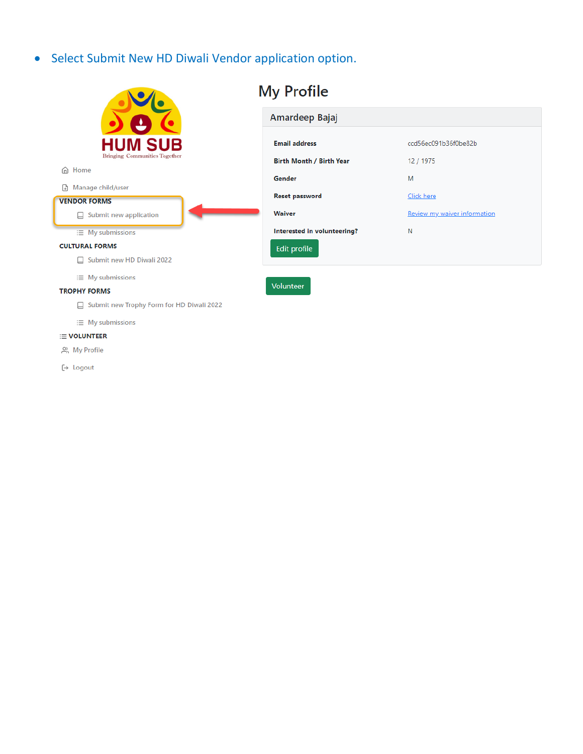• Select Submit New HD Diwali Vendor application option.



 $\equiv$  My submissions

#### **E VOLUNTEER**

္က My Profile

[→ Logout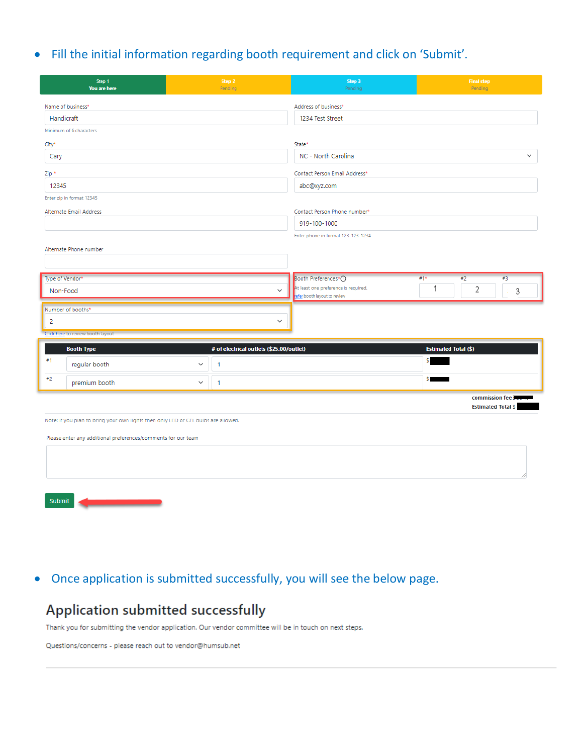### • Fill the initial information regarding booth requirement and click on 'Submit'.

|                 | Step 1<br>You are here                                                             |              | Step 2<br>Pending                        | Step 3<br>Pending                                                   |                             | <b>Final step</b><br>Pending |              |
|-----------------|------------------------------------------------------------------------------------|--------------|------------------------------------------|---------------------------------------------------------------------|-----------------------------|------------------------------|--------------|
|                 | Name of business*                                                                  |              |                                          | Address of business*                                                |                             |                              |              |
| Handicraft      |                                                                                    |              |                                          | 1234 Test Street                                                    |                             |                              |              |
|                 | Minimum of 6 characters                                                            |              |                                          |                                                                     |                             |                              |              |
| City*           |                                                                                    |              |                                          | State*                                                              |                             |                              |              |
| Cary            |                                                                                    |              |                                          | NC - North Carolina                                                 |                             |                              | $\checkmark$ |
| Zip *           |                                                                                    |              |                                          | Contact Person Email Address*                                       |                             |                              |              |
| 12345           |                                                                                    |              |                                          | abc@xyz.com                                                         |                             |                              |              |
|                 | Enter zip in format 12345                                                          |              |                                          |                                                                     |                             |                              |              |
|                 | Alternate Email Address                                                            |              |                                          | Contact Person Phone number*                                        |                             |                              |              |
|                 |                                                                                    |              |                                          | 919-100-1000                                                        |                             |                              |              |
|                 |                                                                                    |              |                                          | Enter phone in format 123-123-1234                                  |                             |                              |              |
|                 | Alternate Phone number                                                             |              |                                          |                                                                     |                             |                              |              |
|                 |                                                                                    |              |                                          |                                                                     |                             |                              |              |
| Type of Vendor* |                                                                                    |              |                                          | Booth Preferences*1                                                 | #1*                         | #2<br>#3                     |              |
| Non-Food        |                                                                                    |              | $\checkmark$                             | At least one preference is required,<br>efer booth layout to review | 1                           | 2                            | 3            |
|                 | Number of booths*                                                                  |              |                                          |                                                                     |                             |                              |              |
| 2               |                                                                                    |              | $\checkmark$                             |                                                                     |                             |                              |              |
|                 | Click here to review booth layout                                                  |              |                                          |                                                                     |                             |                              |              |
|                 | <b>Booth Type</b>                                                                  |              | # of electrical outlets (\$25.00/outlet) |                                                                     | <b>Estimated Total (\$)</b> |                              |              |
| #1              | regular booth                                                                      | $\checkmark$ | $\overline{1}$                           |                                                                     | s                           |                              |              |
| #2              | premium booth                                                                      | $\checkmark$ | $\mathbf{1}$                             |                                                                     | $S =$                       |                              |              |
|                 |                                                                                    |              |                                          |                                                                     |                             | commission fee <b>M</b>      |              |
|                 |                                                                                    |              |                                          |                                                                     |                             | <b>Estimated Total \$</b>    |              |
|                 | Note: If you plan to bring your own lights then only LED or CFL bulbs are allowed. |              |                                          |                                                                     |                             |                              |              |
|                 | Please enter any additional preferences/comments for our team                      |              |                                          |                                                                     |                             |                              |              |
|                 |                                                                                    |              |                                          |                                                                     |                             |                              |              |
|                 |                                                                                    |              |                                          |                                                                     |                             |                              |              |
|                 |                                                                                    |              |                                          |                                                                     |                             |                              |              |



### • Once application is submitted successfully, you will see the below page.

### Application submitted successfully

Thank you for submitting the vendor application. Our vendor committee will be in touch on next steps.

Questions/concerns - please reach out to vendor@humsub.net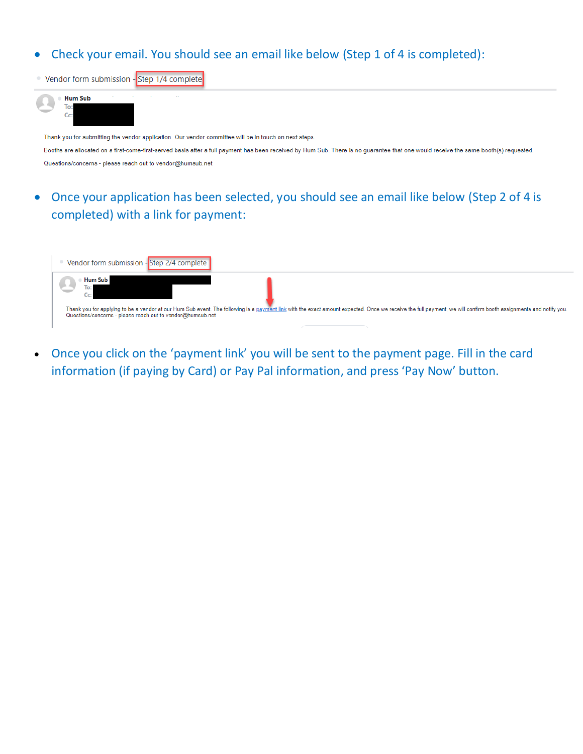### • Check your email. You should see an email like below (Step 1 of 4 is completed):

Vendor form submission - Step 1/4 complete



Thank you for submitting the vendor application. Our vendor committee will be in touch on next steps. Booths are allocated on a first-come-first-served basis after a full payment has been received by Hum Sub. There is no guarantee that one would receive the same booth(s) requested. Questions/concerns - please reach out to vendor@humsub.net

• Once your application has been selected, you should see an email like below (Step 2 of 4 is completed) with a link for payment:

| Vendor form submission - Step 2/4 complete                                                                                                                                                                                                                                                                 |
|------------------------------------------------------------------------------------------------------------------------------------------------------------------------------------------------------------------------------------------------------------------------------------------------------------|
| <b>Hum Sub</b><br>$C_{C}$<br>Thank you for applying to be a vendor at our Hum Sub event. The following is a payment link with the exact amount expected. Once we receive the full payment, we will confirm booth assignments and notify you.<br>Questions/concerns - please reach out to vendor@humsub.net |

• Once you click on the 'payment link' you will be sent to the payment page. Fill in the card information (if paying by Card) or Pay Pal information, and press 'Pay Now' button.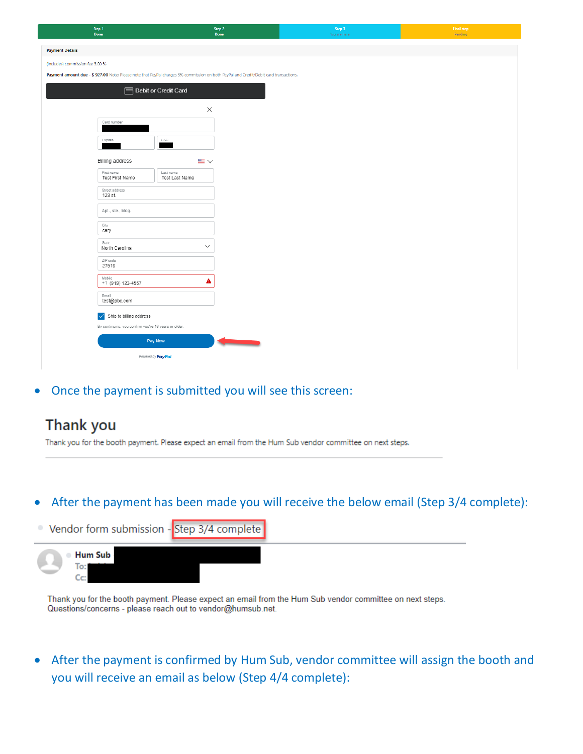| Step 1<br><b>Done</b>                                                                                                                 | Step 2<br><b>Done</b>       |                          | Step 3<br>You are here | <b>Final step</b><br>Pending |
|---------------------------------------------------------------------------------------------------------------------------------------|-----------------------------|--------------------------|------------------------|------------------------------|
| <b>Payment Details</b>                                                                                                                |                             |                          |                        |                              |
| (Includes) commission fee 3.00 %                                                                                                      |                             |                          |                        |                              |
| Payment amount due - \$ 927.00 Note: Please note that PayPal charges 3% commission on both PayPal and Credit/Debit card transactions. |                             |                          |                        |                              |
|                                                                                                                                       | Debit or Credit Card        |                          |                        |                              |
|                                                                                                                                       |                             |                          |                        |                              |
| Card number                                                                                                                           | $\times$                    |                          |                        |                              |
|                                                                                                                                       |                             |                          |                        |                              |
| Expires                                                                                                                               | $_{\tt CSC}$                |                          |                        |                              |
| Billing address                                                                                                                       | $\equiv$ $\sim$             |                          |                        |                              |
| First name<br>Test First Name                                                                                                         | Last name<br>Test Last Name |                          |                        |                              |
| Street address                                                                                                                        |                             |                          |                        |                              |
| 123 st.                                                                                                                               |                             |                          |                        |                              |
| Apt., ste., bldg.                                                                                                                     |                             |                          |                        |                              |
| City<br>cary                                                                                                                          |                             |                          |                        |                              |
| State<br>North Carolina                                                                                                               | $\checkmark$                |                          |                        |                              |
| ZIP code<br>27519                                                                                                                     |                             |                          |                        |                              |
| Mobile<br>$+1$ (919) 123-4567                                                                                                         | A                           |                          |                        |                              |
| Email<br>test@abc.com                                                                                                                 |                             |                          |                        |                              |
| Ship to billing address                                                                                                               |                             |                          |                        |                              |
| By continuing, you confirm you're 18 years or older.                                                                                  |                             |                          |                        |                              |
|                                                                                                                                       | Pay Now                     | <b>Contract Contract</b> |                        |                              |
|                                                                                                                                       | Powered by PayPal           |                          |                        |                              |

• Once the payment is submitted you will see this screen:

### **Thank you**

Thank you for the booth payment. Please expect an email from the Hum Sub vendor committee on next steps.

### • After the payment has been made you will receive the below email (Step 3/4 complete):



Thank you for the booth payment. Please expect an email from the Hum Sub vendor committee on next steps. Questions/concerns - please reach out to vendor@humsub.net.

• After the payment is confirmed by Hum Sub, vendor committee will assign the booth and you will receive an email as below (Step 4/4 complete):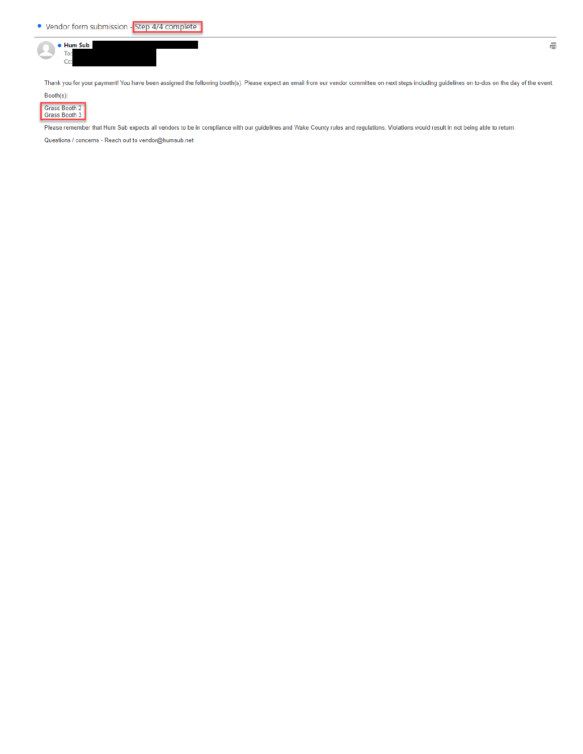

Thank you for your payment! You have been assigned the following booth(s). Please expect an email from our vendor committee on next steps including guidelines on to-dos on the day of the event.



Grass Booth 2<br>Grass Booth 3

Please remember that Hum Sub expects all vendors to be in compliance with our guidelines and Wake County rules and regulations. Violations would result in not being able to return.

Questions / concerns - Reach out to vendor@humsub.net